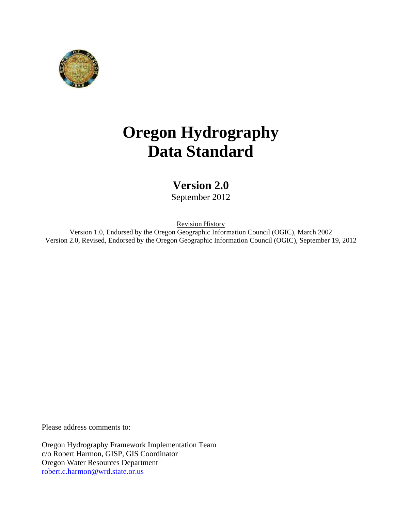

# **Oregon Hydrography Data Standard**

# **Version 2.0**

September 2012

Revision History

Version 1.0, Endorsed by the Oregon Geographic Information Council (OGIC), March 2002 Version 2.0, Revised, Endorsed by the Oregon Geographic Information Council (OGIC), September 19, 2012

Please address comments to:

Oregon Hydrography Framework Implementation Team c/o Robert Harmon, GISP, GIS Coordinator Oregon Water Resources Department [robert.c.harmon@wrd.state.or.us](mailto:robert.c.harmon@wrd.state.or.us)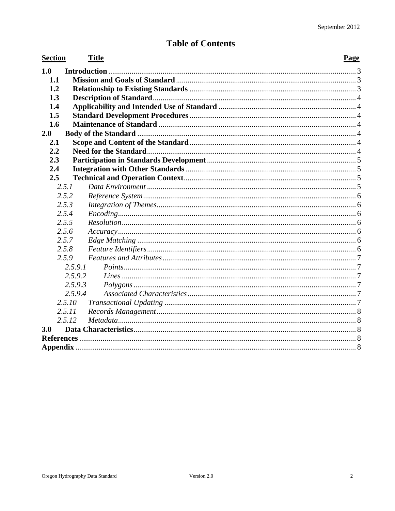# **Table of Contents**

| <b>Section</b> |                    | <b>Title</b> | Page |
|----------------|--------------------|--------------|------|
| 1.0            |                    |              |      |
| 1.1            |                    |              |      |
| 1.2            |                    |              |      |
| 1.3            |                    |              |      |
| 1.4            |                    |              |      |
| 1.5            |                    |              |      |
| 1.6            |                    |              |      |
| 2.0            |                    |              |      |
| 2.1            |                    |              |      |
| 2.2            |                    |              |      |
| 2.3            |                    |              |      |
| 2.4            |                    |              |      |
| 2.5            |                    |              |      |
|                | 2.5.1              |              |      |
|                | 2.5.2              |              |      |
|                | 2.5.3              |              |      |
|                | 2.5.4              |              |      |
|                | 2.5.5              |              |      |
|                | 2.5.6              |              |      |
|                | 2.5.7              |              |      |
|                | 2.5.8              |              |      |
|                | 2.5.9              |              |      |
|                | 2.5.9.1            |              |      |
|                | 2.5.9.2            |              |      |
|                | 2.5.9.3<br>2.5.9.4 |              |      |
|                | 2.5.10             |              |      |
|                | 2.5.11             |              |      |
|                | 2.5.12             |              |      |
| 3.0            |                    |              |      |
|                |                    |              |      |
|                |                    |              |      |
|                |                    |              |      |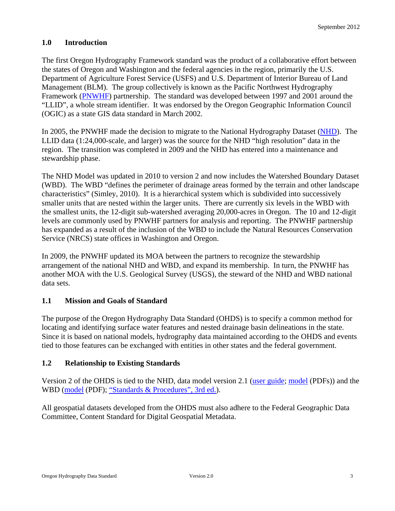# <span id="page-2-0"></span>**1.0 Introduction**

The first Oregon Hydrography Framework standard was the product of a collaborative effort between the states of Oregon and Washington and the federal agencies in the region, primarily the U.S. Department of Agriculture Forest Service (USFS) and U.S. Department of Interior Bureau of Land Management (BLM). The group collectively is known as the Pacific Northwest Hydrography Framework [\(PNWHF](http://www.pnwhf.org/)) partnership. The standard was developed between 1997 and 2001 around the "LLID", a whole stream identifier. It was endorsed by the Oregon Geographic Information Council (OGIC) as a state GIS data standard in March 2002.

In 2005, the PNWHF made the decision to migrate to the National Hydrography Dataset [\(NHD](http://nhd.usgs.gov/)). The LLID data (1:24,000-scale, and larger) was the source for the NHD "high resolution" data in the region. The transition was completed in 2009 and the NHD has entered into a maintenance and stewardship phase.

The NHD Model was updated in 2010 to version 2 and now includes the Watershed Boundary Dataset (WBD). The WBD "defines the perimeter of drainage areas formed by the terrain and other landscape characteristics" (Simley, 2010). It is a hierarchical system which is subdivided into successively smaller units that are nested within the larger units. There are currently six levels in the WBD with the smallest units, the 12-digit sub-watershed averaging 20,000-acres in Oregon. The 10 and 12-digit levels are commonly used by PNWHF partners for analysis and reporting. The PNWHF partnership has expanded as a result of the inclusion of the WBD to include the Natural Resources Conservation Service (NRCS) state offices in Washington and Oregon.

In 2009, the PNWHF updated its MOA between the partners to recognize the stewardship arrangement of the national NHD and WBD, and expand its membership. In turn, the PNWHF has another MOA with the U.S. Geological Survey (USGS), the steward of the NHD and WBD national data sets.

# <span id="page-2-1"></span>**1.1 Mission and Goals of Standard**

The purpose of the Oregon Hydrography Data Standard (OHDS) is to specify a common method for locating and identifying surface water features and nested drainage basin delineations in the state. Since it is based on national models, hydrography data maintained according to the OHDS and events tied to those features can be exchanged with entities in other states and the federal government.

# <span id="page-2-2"></span>**1.2 Relationship to Existing Standards**

Version 2 of the OHDS is tied to the NHD, data model version 2.1 [\(user guide](http://nhd.usgs.gov/userguide.html); [model](http://nhd.usgs.gov/NHDv2.1_poster_3_23_2012.pdf) (PDFs)) and the WBD ([model](http://nhd.usgs.gov/WBDposter_6_30_09a.pdf) (PDF); ["Standards & Procedures", 3rd ed.](http://pubs.usgs.gov/tm/tm11a3/)).

All geospatial datasets developed from the OHDS must also adhere to the Federal Geographic Data Committee, Content Standard for Digital Geospatial Metadata.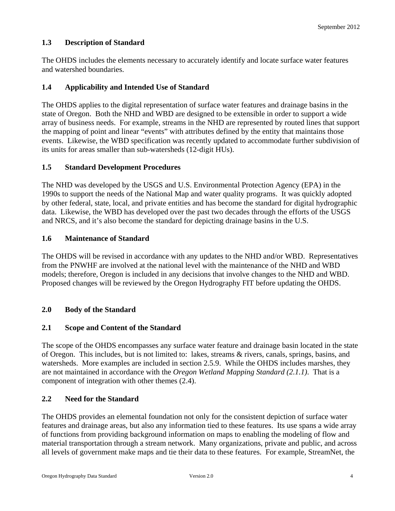# <span id="page-3-0"></span>**1.3 Description of Standard**

The OHDS includes the elements necessary to accurately identify and locate surface water features and watershed boundaries.

# <span id="page-3-1"></span>**1.4 Applicability and Intended Use of Standard**

The OHDS applies to the digital representation of surface water features and drainage basins in the state of Oregon. Both the NHD and WBD are designed to be extensible in order to support a wide array of business needs. For example, streams in the NHD are represented by routed lines that support the mapping of point and linear "events" with attributes defined by the entity that maintains those events. Likewise, the WBD specification was recently updated to accommodate further subdivision of its units for areas smaller than sub-watersheds (12-digit HUs).

# <span id="page-3-2"></span>**1.5 Standard Development Procedures**

The NHD was developed by the USGS and U.S. Environmental Protection Agency (EPA) in the 1990s to support the needs of the National Map and water quality programs. It was quickly adopted by other federal, state, local, and private entities and has become the standard for digital hydrographic data. Likewise, the WBD has developed over the past two decades through the efforts of the USGS and NRCS, and it's also become the standard for depicting drainage basins in the U.S.

# <span id="page-3-3"></span>**1.6 Maintenance of Standard**

The OHDS will be revised in accordance with any updates to the NHD and/or WBD. Representatives from the PNWHF are involved at the national level with the maintenance of the NHD and WBD models; therefore, Oregon is included in any decisions that involve changes to the NHD and WBD. Proposed changes will be reviewed by the Oregon Hydrography FIT before updating the OHDS.

# <span id="page-3-4"></span>**2.0 Body of the Standard**

# <span id="page-3-5"></span>**2.1 Scope and Content of the Standard**

The scope of the OHDS encompasses any surface water feature and drainage basin located in the state of Oregon. This includes, but is not limited to: lakes, streams & rivers, canals, springs, basins, and watersheds. More examples are included in section 2.5.9. While the OHDS includes marshes, they are not maintained in accordance with the *Oregon Wetland Mapping Standard (2.1.1)*. That is a component of integration with other themes (2.4).

# <span id="page-3-6"></span>**2.2 Need for the Standard**

The OHDS provides an elemental foundation not only for the consistent depiction of surface water features and drainage areas, but also any information tied to these features. Its use spans a wide array of functions from providing background information on maps to enabling the modeling of flow and material transportation through a stream network. Many organizations, private and public, and across all levels of government make maps and tie their data to these features. For example, StreamNet, the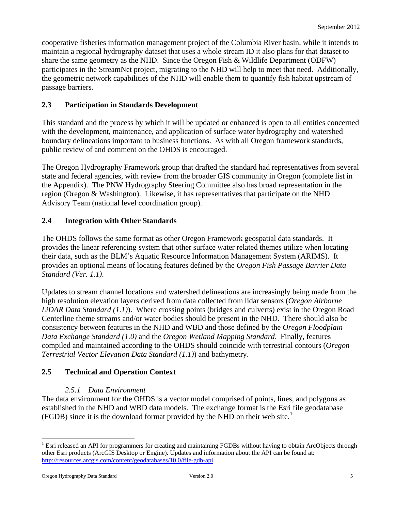cooperative fisheries information management project of the Columbia River basin, while it intends to maintain a regional hydrography dataset that uses a whole stream ID it also plans for that dataset to share the same geometry as the NHD. Since the Oregon Fish & Wildlife Department (ODFW) participates in the StreamNet project, migrating to the NHD will help to meet that need. Additionally, the geometric network capabilities of the NHD will enable them to quantify fish habitat upstream of passage barriers.

# <span id="page-4-0"></span>**2.3 Participation in Standards Development**

This standard and the process by which it will be updated or enhanced is open to all entities concerned with the development, maintenance, and application of surface water hydrography and watershed boundary delineations important to business functions. As with all Oregon framework standards, public review of and comment on the OHDS is encouraged.

The Oregon Hydrography Framework group that drafted the standard had representatives from several state and federal agencies, with review from the broader GIS community in Oregon (complete list in the Appendix). The PNW Hydrography Steering Committee also has broad representation in the region (Oregon & Washington). Likewise, it has representatives that participate on the NHD Advisory Team (national level coordination group).

# <span id="page-4-1"></span>**2.4 Integration with Other Standards**

The OHDS follows the same format as other Oregon Framework geospatial data standards. It provides the linear referencing system that other surface water related themes utilize when locating their data, such as the BLM's Aquatic Resource Information Management System (ARIMS). It provides an optional means of locating features defined by the *Oregon Fish Passage Barrier Data Standard (Ver. 1.1)*.

Updates to stream channel locations and watershed delineations are increasingly being made from the high resolution elevation layers derived from data collected from lidar sensors (*Oregon Airborne LiDAR Data Standard (1.1)*). Where crossing points (bridges and culverts) exist in the Oregon Road Centerline theme streams and/or water bodies should be present in the NHD. There should also be consistency between features in the NHD and WBD and those defined by the *Oregon Floodplain Data Exchange Standard (1.0)* and the *Oregon Wetland Mapping Standard*. Finally, features compiled and maintained according to the OHDS should coincide with terrestrial contours (*Oregon Terrestrial Vector Elevation Data Standard (1.1)*) and bathymetry.

# <span id="page-4-2"></span>**2.5 Technical and Operation Context**

# *2.5.1 Data Environment*

<span id="page-4-3"></span>The data environment for the OHDS is a vector model comprised of points, lines, and polygons as established in the NHD and WBD data models. The exchange format is the Esri file geodatabase (FGDB) since it is the download format provided by the NHD on their web site.<sup>[1](#page-4-4)</sup>

 $\overline{a}$ 

<span id="page-4-4"></span><sup>&</sup>lt;sup>1</sup> Esri released an API for programmers for creating and maintaining FGDBs without having to obtain ArcObjects through other Esri products (ArcGIS Desktop or Engine). Updates and information about the API can be found at: [http://resources.arcgis.com/content/geodatabases/10.0/file-gdb-api.](http://resources.arcgis.com/content/geodatabases/10.0/file-gdb-api)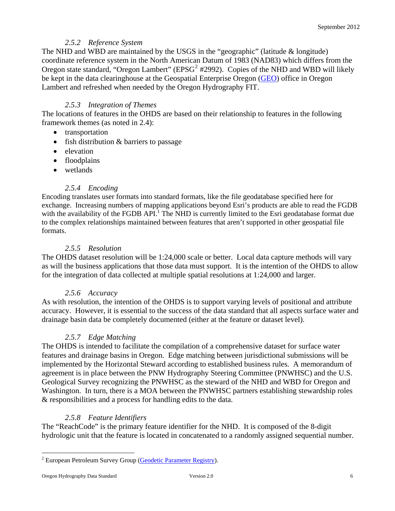# *2.5.2 Reference System*

<span id="page-5-0"></span>The NHD and WBD are maintained by the USGS in the "geographic" (latitude & longitude) coordinate reference system in the North American Datum of 1983 (NAD83) which differs from the Oregon state standard, "Oregon Lambert" ( $EPSG<sup>2</sup>$  $EPSG<sup>2</sup>$  $EPSG<sup>2</sup>$  #2992). Copies of the NHD and WBD will likely be kept in the data clearinghouse at the Geospatial Enterprise Oregon [\(GEO\)](http://www.oregon.gov/DAS/IRMD/GEO/index.shtml) office in Oregon Lambert and refreshed when needed by the Oregon Hydrography FIT.

# *2.5.3 Integration of Themes*

<span id="page-5-1"></span>The locations of features in the OHDS are based on their relationship to features in the following framework themes (as noted in 2.4):

- transportation
- fish distribution & barriers to passage
- elevation
- floodplains
- wetlands

# *2.5.4 Encoding*

<span id="page-5-2"></span>Encoding translates user formats into standard formats, like the file geodatabase specified here for exchange. Increasing numbers of mapping applications beyond Esri's products are able to read the FGDB with the availability of the FGDB API.<sup>1</sup> The NHD is currently limited to the Esri geodatabase format due to the complex relationships maintained between features that aren't supported in other geospatial file formats.

# *2.5.5 Resolution*

<span id="page-5-3"></span>The OHDS dataset resolution will be 1:24,000 scale or better. Local data capture methods will vary as will the business applications that those data must support. It is the intention of the OHDS to allow for the integration of data collected at multiple spatial resolutions at 1:24,000 and larger.

# *2.5.6 Accuracy*

<span id="page-5-4"></span>As with resolution, the intention of the OHDS is to support varying levels of positional and attribute accuracy. However, it is essential to the success of the data standard that all aspects surface water and drainage basin data be completely documented (either at the feature or dataset level).

# *2.5.7 Edge Matching*

<span id="page-5-5"></span>The OHDS is intended to facilitate the compilation of a comprehensive dataset for surface water features and drainage basins in Oregon. Edge matching between jurisdictional submissions will be implemented by the Horizontal Steward according to established business rules. A memorandum of agreement is in place between the PNW Hydrography Steering Committee (PNWHSC) and the U.S. Geological Survey recognizing the PNWHSC as the steward of the NHD and WBD for Oregon and Washington. In turn, there is a MOA between the PNWHSC partners establishing stewardship roles & responsibilities and a process for handling edits to the data.

# *2.5.8 Feature Identifiers*

<span id="page-5-6"></span>The "ReachCode" is the primary feature identifier for the NHD. It is composed of the 8-digit hydrologic unit that the feature is located in concatenated to a randomly assigned sequential number.

 $\overline{a}$ 

<span id="page-5-7"></span><sup>&</sup>lt;sup>2</sup> European Petroleum Survey Group [\(Geodetic Parameter Registry\)](http://www.epsg-registry.org/).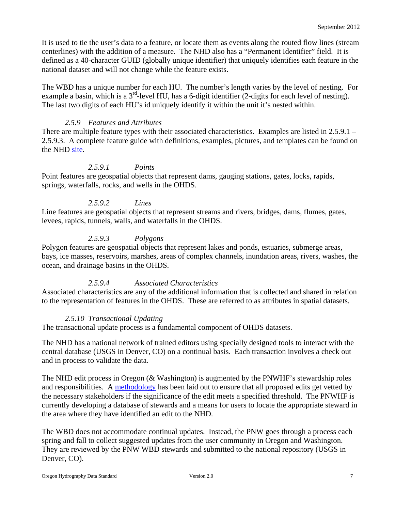It is used to tie the user's data to a feature, or locate them as events along the routed flow lines (stream centerlines) with the addition of a measure. The NHD also has a "Permanent Identifier" field. It is defined as a 40-character GUID (globally unique identifier) that uniquely identifies each feature in the national dataset and will not change while the feature exists.

The WBD has a unique number for each HU. The number's length varies by the level of nesting. For example a basin, which is a  $3<sup>rd</sup>$ -level HU, has a 6-digit identifier (2-digits for each level of nesting). The last two digits of each HU's id uniquely identify it within the unit it's nested within.

#### *2.5.9 Features and Attributes*

<span id="page-6-0"></span>There are multiple feature types with their associated characteristics. Examples are listed in 2.5.9.1 – 2.5.9.3. A complete feature guide with definitions, examples, pictures, and templates can be found on the NHD [site](http://nhd.usgs.gov/userguide.html).

#### *2.5.9.1 Points*

<span id="page-6-1"></span>Point features are geospatial objects that represent dams, gauging stations, gates, locks, rapids, springs, waterfalls, rocks, and wells in the OHDS.

#### *2.5.9.2 Lines*

<span id="page-6-2"></span>Line features are geospatial objects that represent streams and rivers, bridges, dams, flumes, gates, levees, rapids, tunnels, walls, and waterfalls in the OHDS.

# *2.5.9.3 Polygons*

<span id="page-6-3"></span>Polygon features are geospatial objects that represent lakes and ponds, estuaries, submerge areas, bays, ice masses, reservoirs, marshes, areas of complex channels, inundation areas, rivers, washes, the ocean, and drainage basins in the OHDS.

#### *2.5.9.4 Associated Characteristics*

<span id="page-6-4"></span>Associated characteristics are any of the additional information that is collected and shared in relation to the representation of features in the OHDS. These are referred to as attributes in spatial datasets.

#### *2.5.10 Transactional Updating*

<span id="page-6-5"></span>The transactional update process is a fundamental component of OHDS datasets.

The NHD has a national network of trained editors using specially designed tools to interact with the central database (USGS in Denver, CO) on a continual basis. Each transaction involves a check out and in process to validate the data.

The NHD edit process in Oregon (& Washington) is augmented by the PNWHF's stewardship roles and responsibilities. A [methodology](http://www.pnwhf.org/stewardship-process.aspx) has been laid out to ensure that all proposed edits get vetted by the necessary stakeholders if the significance of the edit meets a specified threshold. The PNWHF is currently developing a database of stewards and a means for users to locate the appropriate steward in the area where they have identified an edit to the NHD.

The WBD does not accommodate continual updates. Instead, the PNW goes through a process each spring and fall to collect suggested updates from the user community in Oregon and Washington. They are reviewed by the PNW WBD stewards and submitted to the national repository (USGS in Denver, CO).